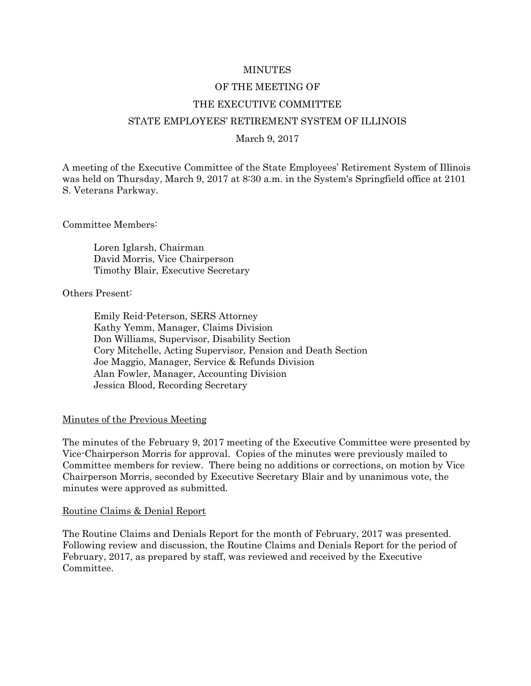#### MINUTES

#### OF THE MEETING OF

#### THE EXECUTIVE COMMITTEE

#### STATE EMPLOYEES' RETIREMENT SYSTEM OF ILLINOIS

#### March 9, 2017

A meeting of the Executive Committee of the State Employees' Retirement System of Illinois was held on Thursday, March 9, 2017 at 8:30 a.m. in the System's Springfield office at 2101 S. Veterans Parkway.

Committee Members:

Loren Iglarsh, Chairman David Morris, Vice Chairperson Timothy Blair, Executive Secretary

Others Present:

Emily Reid-Peterson, SERS Attorney Kathy Yemm, Manager, Claims Division Don Williams, Supervisor, Disability Section Cory Mitchelle, Acting Supervisor, Pension and Death Section Joe Maggio, Manager, Service & Refunds Division Alan Fowler, Manager, Accounting Division Jessica Blood, Recording Secretary

#### Minutes of the Previous Meeting

The minutes of the February 9, 2017 meeting of the Executive Committee were presented by Vice-Chairperson Morris for approval. Copies of the minutes were previously mailed to Committee members for review. There being no additions or corrections, on motion by Vice Chairperson Morris, seconded by Executive Secretary Blair and by unanimous vote, the minutes were approved as submitted.

#### Routine Claims & Denial Report

The Routine Claims and Denials Report for the month of February, 2017 was presented. Following review and discussion, the Routine Claims and Denials Report for the period of February, 2017, as prepared by staff, was reviewed and received by the Executive Committee.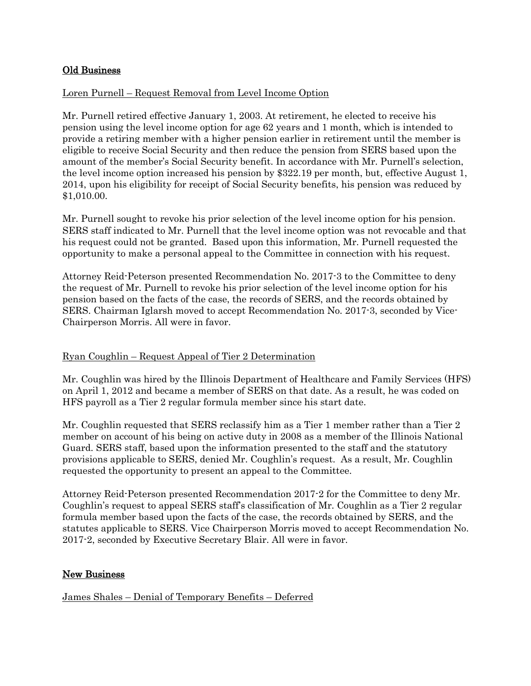# Old Business

# Loren Purnell – Request Removal from Level Income Option

Mr. Purnell retired effective January 1, 2003. At retirement, he elected to receive his pension using the level income option for age 62 years and 1 month, which is intended to provide a retiring member with a higher pension earlier in retirement until the member is eligible to receive Social Security and then reduce the pension from SERS based upon the amount of the member's Social Security benefit. In accordance with Mr. Purnell's selection, the level income option increased his pension by \$322.19 per month, but, effective August 1, 2014, upon his eligibility for receipt of Social Security benefits, his pension was reduced by \$1,010.00.

Mr. Purnell sought to revoke his prior selection of the level income option for his pension. SERS staff indicated to Mr. Purnell that the level income option was not revocable and that his request could not be granted. Based upon this information, Mr. Purnell requested the opportunity to make a personal appeal to the Committee in connection with his request.

Attorney Reid-Peterson presented Recommendation No. 2017-3 to the Committee to deny the request of Mr. Purnell to revoke his prior selection of the level income option for his pension based on the facts of the case, the records of SERS, and the records obtained by SERS. Chairman Iglarsh moved to accept Recommendation No. 2017-3, seconded by Vice-Chairperson Morris. All were in favor.

#### Ryan Coughlin – Request Appeal of Tier 2 Determination

Mr. Coughlin was hired by the Illinois Department of Healthcare and Family Services (HFS) on April 1, 2012 and became a member of SERS on that date. As a result, he was coded on HFS payroll as a Tier 2 regular formula member since his start date.

Mr. Coughlin requested that SERS reclassify him as a Tier 1 member rather than a Tier 2 member on account of his being on active duty in 2008 as a member of the Illinois National Guard. SERS staff, based upon the information presented to the staff and the statutory provisions applicable to SERS, denied Mr. Coughlin's request. As a result, Mr. Coughlin requested the opportunity to present an appeal to the Committee.

Attorney Reid-Peterson presented Recommendation 2017-2 for the Committee to deny Mr. Coughlin's request to appeal SERS staff's classification of Mr. Coughlin as a Tier 2 regular formula member based upon the facts of the case, the records obtained by SERS, and the statutes applicable to SERS. Vice Chairperson Morris moved to accept Recommendation No. 2017-2, seconded by Executive Secretary Blair. All were in favor.

# New Business

James Shales – Denial of Temporary Benefits – Deferred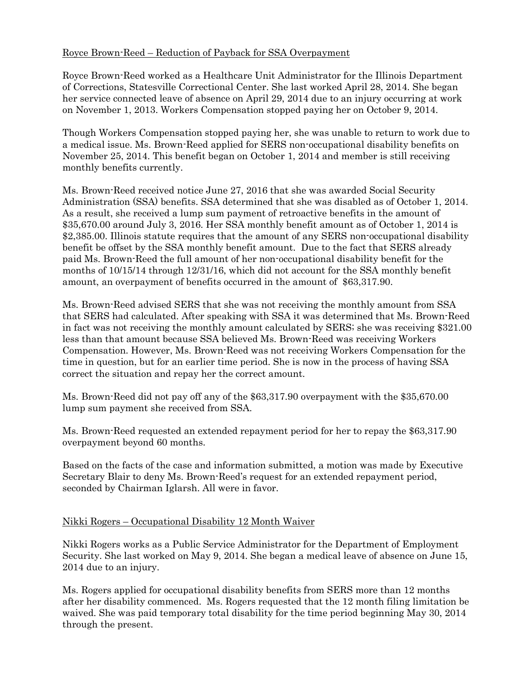# Royce Brown-Reed – Reduction of Payback for SSA Overpayment

Royce Brown-Reed worked as a Healthcare Unit Administrator for the Illinois Department of Corrections, Statesville Correctional Center. She last worked April 28, 2014. She began her service connected leave of absence on April 29, 2014 due to an injury occurring at work on November 1, 2013. Workers Compensation stopped paying her on October 9, 2014.

Though Workers Compensation stopped paying her, she was unable to return to work due to a medical issue. Ms. Brown-Reed applied for SERS non-occupational disability benefits on November 25, 2014. This benefit began on October 1, 2014 and member is still receiving monthly benefits currently.

Ms. Brown-Reed received notice June 27, 2016 that she was awarded Social Security Administration (SSA) benefits. SSA determined that she was disabled as of October 1, 2014. As a result, she received a lump sum payment of retroactive benefits in the amount of \$35,670.00 around July 3, 2016. Her SSA monthly benefit amount as of October 1, 2014 is \$2,385.00. Illinois statute requires that the amount of any SERS non-occupational disability benefit be offset by the SSA monthly benefit amount. Due to the fact that SERS already paid Ms. Brown-Reed the full amount of her non-occupational disability benefit for the months of 10/15/14 through 12/31/16, which did not account for the SSA monthly benefit amount, an overpayment of benefits occurred in the amount of \$63,317.90.

Ms. Brown-Reed advised SERS that she was not receiving the monthly amount from SSA that SERS had calculated. After speaking with SSA it was determined that Ms. Brown-Reed in fact was not receiving the monthly amount calculated by SERS; she was receiving \$321.00 less than that amount because SSA believed Ms. Brown-Reed was receiving Workers Compensation. However, Ms. Brown-Reed was not receiving Workers Compensation for the time in question, but for an earlier time period. She is now in the process of having SSA correct the situation and repay her the correct amount.

Ms. Brown-Reed did not pay off any of the \$63,317.90 overpayment with the \$35,670.00 lump sum payment she received from SSA.

Ms. Brown-Reed requested an extended repayment period for her to repay the \$63,317.90 overpayment beyond 60 months.

Based on the facts of the case and information submitted, a motion was made by Executive Secretary Blair to deny Ms. Brown-Reed's request for an extended repayment period, seconded by Chairman Iglarsh. All were in favor.

# Nikki Rogers – Occupational Disability 12 Month Waiver

Nikki Rogers works as a Public Service Administrator for the Department of Employment Security. She last worked on May 9, 2014. She began a medical leave of absence on June 15, 2014 due to an injury.

Ms. Rogers applied for occupational disability benefits from SERS more than 12 months after her disability commenced. Ms. Rogers requested that the 12 month filing limitation be waived. She was paid temporary total disability for the time period beginning May 30, 2014 through the present.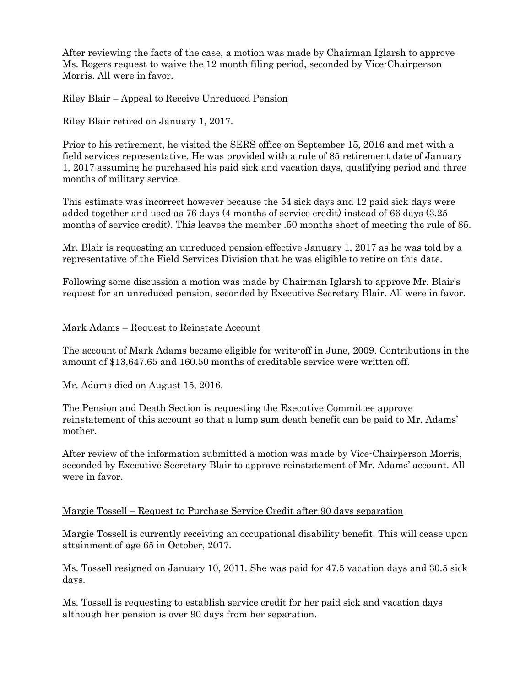After reviewing the facts of the case, a motion was made by Chairman Iglarsh to approve Ms. Rogers request to waive the 12 month filing period, seconded by Vice-Chairperson Morris. All were in favor.

Riley Blair – Appeal to Receive Unreduced Pension

Riley Blair retired on January 1, 2017.

Prior to his retirement, he visited the SERS office on September 15, 2016 and met with a field services representative. He was provided with a rule of 85 retirement date of January 1, 2017 assuming he purchased his paid sick and vacation days, qualifying period and three months of military service.

This estimate was incorrect however because the 54 sick days and 12 paid sick days were added together and used as 76 days (4 months of service credit) instead of 66 days (3.25 months of service credit). This leaves the member .50 months short of meeting the rule of 85.

Mr. Blair is requesting an unreduced pension effective January 1, 2017 as he was told by a representative of the Field Services Division that he was eligible to retire on this date.

Following some discussion a motion was made by Chairman Iglarsh to approve Mr. Blair's request for an unreduced pension, seconded by Executive Secretary Blair. All were in favor.

### Mark Adams – Request to Reinstate Account

The account of Mark Adams became eligible for write-off in June, 2009. Contributions in the amount of \$13,647.65 and 160.50 months of creditable service were written off.

Mr. Adams died on August 15, 2016.

The Pension and Death Section is requesting the Executive Committee approve reinstatement of this account so that a lump sum death benefit can be paid to Mr. Adams' mother.

After review of the information submitted a motion was made by Vice-Chairperson Morris, seconded by Executive Secretary Blair to approve reinstatement of Mr. Adams' account. All were in favor.

#### Margie Tossell – Request to Purchase Service Credit after 90 days separation

Margie Tossell is currently receiving an occupational disability benefit. This will cease upon attainment of age 65 in October, 2017.

Ms. Tossell resigned on January 10, 2011. She was paid for 47.5 vacation days and 30.5 sick days.

Ms. Tossell is requesting to establish service credit for her paid sick and vacation days although her pension is over 90 days from her separation.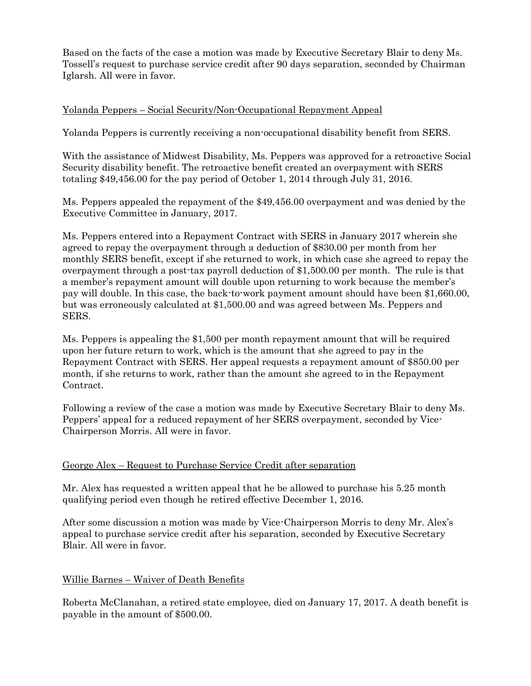Based on the facts of the case a motion was made by Executive Secretary Blair to deny Ms. Tossell's request to purchase service credit after 90 days separation, seconded by Chairman Iglarsh. All were in favor.

# Yolanda Peppers – Social Security/Non-Occupational Repayment Appeal

Yolanda Peppers is currently receiving a non-occupational disability benefit from SERS.

With the assistance of Midwest Disability, Ms. Peppers was approved for a retroactive Social Security disability benefit. The retroactive benefit created an overpayment with SERS totaling \$49,456.00 for the pay period of October 1, 2014 through July 31, 2016.

Ms. Peppers appealed the repayment of the \$49,456.00 overpayment and was denied by the Executive Committee in January, 2017.

Ms. Peppers entered into a Repayment Contract with SERS in January 2017 wherein she agreed to repay the overpayment through a deduction of \$830.00 per month from her monthly SERS benefit, except if she returned to work, in which case she agreed to repay the overpayment through a post-tax payroll deduction of \$1,500.00 per month. The rule is that a member's repayment amount will double upon returning to work because the member's pay will double. In this case, the back-to-work payment amount should have been \$1,660.00, but was erroneously calculated at \$1,500.00 and was agreed between Ms. Peppers and SERS.

Ms. Peppers is appealing the \$1,500 per month repayment amount that will be required upon her future return to work, which is the amount that she agreed to pay in the Repayment Contract with SERS. Her appeal requests a repayment amount of \$850.00 per month, if she returns to work, rather than the amount she agreed to in the Repayment Contract.

Following a review of the case a motion was made by Executive Secretary Blair to deny Ms. Peppers' appeal for a reduced repayment of her SERS overpayment, seconded by Vice-Chairperson Morris. All were in favor.

# George Alex – Request to Purchase Service Credit after separation

Mr. Alex has requested a written appeal that he be allowed to purchase his 5.25 month qualifying period even though he retired effective December 1, 2016.

After some discussion a motion was made by Vice-Chairperson Morris to deny Mr. Alex's appeal to purchase service credit after his separation, seconded by Executive Secretary Blair. All were in favor.

# Willie Barnes – Waiver of Death Benefits

Roberta McClanahan, a retired state employee, died on January 17, 2017. A death benefit is payable in the amount of \$500.00.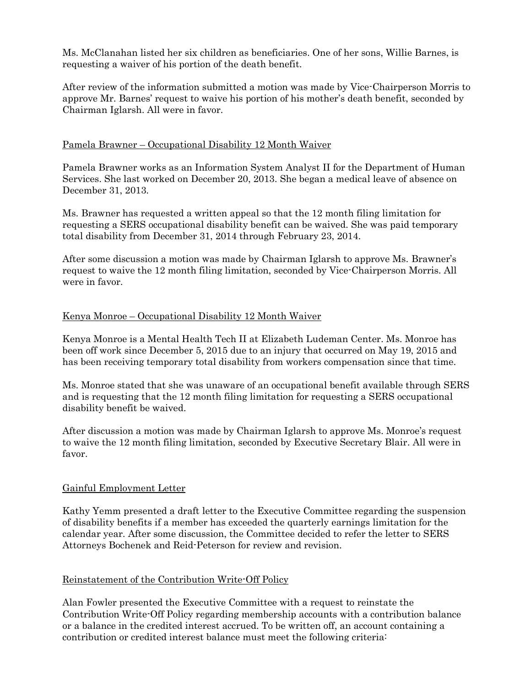Ms. McClanahan listed her six children as beneficiaries. One of her sons, Willie Barnes, is requesting a waiver of his portion of the death benefit.

After review of the information submitted a motion was made by Vice-Chairperson Morris to approve Mr. Barnes' request to waive his portion of his mother's death benefit, seconded by Chairman Iglarsh. All were in favor.

# Pamela Brawner – Occupational Disability 12 Month Waiver

Pamela Brawner works as an Information System Analyst II for the Department of Human Services. She last worked on December 20, 2013. She began a medical leave of absence on December 31, 2013.

Ms. Brawner has requested a written appeal so that the 12 month filing limitation for requesting a SERS occupational disability benefit can be waived. She was paid temporary total disability from December 31, 2014 through February 23, 2014.

After some discussion a motion was made by Chairman Iglarsh to approve Ms. Brawner's request to waive the 12 month filing limitation, seconded by Vice-Chairperson Morris. All were in favor.

# Kenya Monroe – Occupational Disability 12 Month Waiver

Kenya Monroe is a Mental Health Tech II at Elizabeth Ludeman Center. Ms. Monroe has been off work since December 5, 2015 due to an injury that occurred on May 19, 2015 and has been receiving temporary total disability from workers compensation since that time.

Ms. Monroe stated that she was unaware of an occupational benefit available through SERS and is requesting that the 12 month filing limitation for requesting a SERS occupational disability benefit be waived.

After discussion a motion was made by Chairman Iglarsh to approve Ms. Monroe's request to waive the 12 month filing limitation, seconded by Executive Secretary Blair. All were in favor.

# Gainful Employment Letter

Kathy Yemm presented a draft letter to the Executive Committee regarding the suspension of disability benefits if a member has exceeded the quarterly earnings limitation for the calendar year. After some discussion, the Committee decided to refer the letter to SERS Attorneys Bochenek and Reid-Peterson for review and revision.

# Reinstatement of the Contribution Write-Off Policy

Alan Fowler presented the Executive Committee with a request to reinstate the Contribution Write-Off Policy regarding membership accounts with a contribution balance or a balance in the credited interest accrued. To be written off, an account containing a contribution or credited interest balance must meet the following criteria: